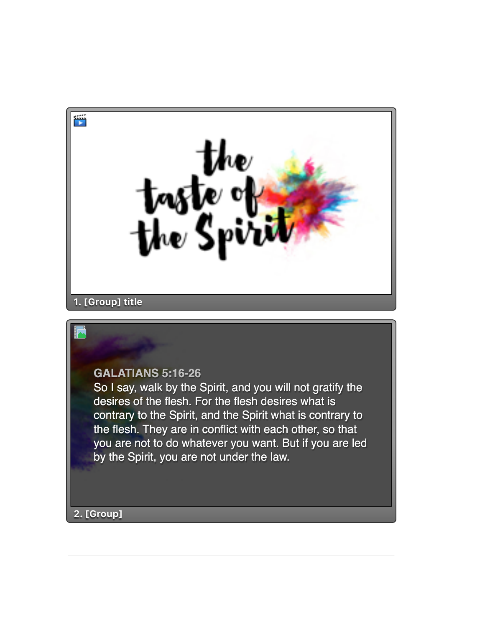



So I say, walk by the Spirit, and you will not gratify the desires of the flesh. For the flesh desires what is contrary to the Spirit, and the Spirit what is contrary to the flesh. They are in conflict with each other, so that you are not to do whatever you want. But if you are led by the Spirit, you are not under the law.

**2. [Group]**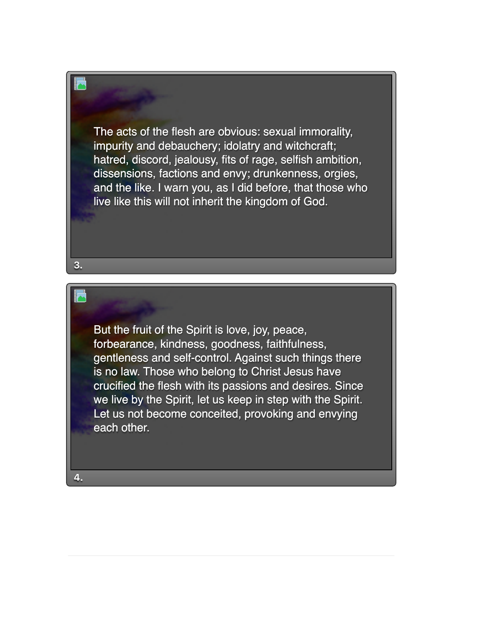The acts of the flesh are obvious: sexual immorality, impurity and debauchery; idolatry and witchcraft; hatred, discord, jealousy, fits of rage, selfish ambition, dissensions, factions and envy; drunkenness, orgies, and the like. I warn you, as I did before, that those who live like this will not inherit the kingdom of God.

But the fruit of the Spirit is love, joy, peace, forbearance, kindness, goodness, faithfulness, gentleness and self-control. Against such things there is no law. Those who belong to Christ Jesus have crucified the flesh with its passions and desires. Since we live by the Spirit, let us keep in step with the Spirit. Let us not become conceited, provoking and envying each other.

**3.**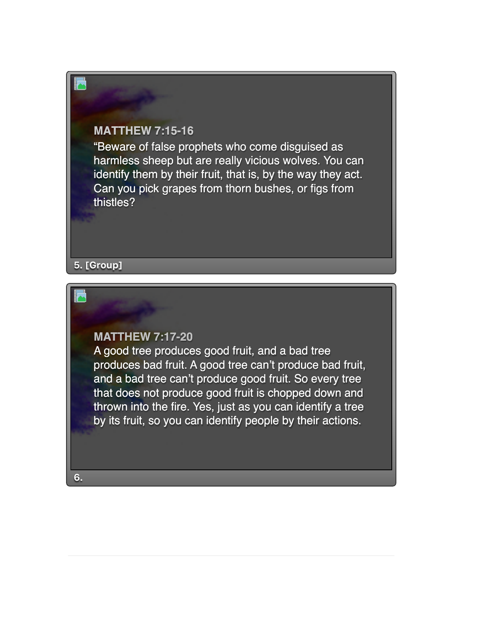## **MATTHEW 7:15-16**

"Beware of false prophets who come disguised as harmless sheep but are really vicious wolves. You can identify them by their fruit, that is, by the way they act. Can you pick grapes from thorn bushes, or figs from thistles?

## **5. [Group]**

## **MATTHEW 7:17-20**

A good tree produces good fruit, and a bad tree produces bad fruit. A good tree can't produce bad fruit, and a bad tree can't produce good fruit. So every tree that does not produce good fruit is chopped down and thrown into the fire. Yes, just as you can identify a tree by its fruit, so you can identify people by their actions.